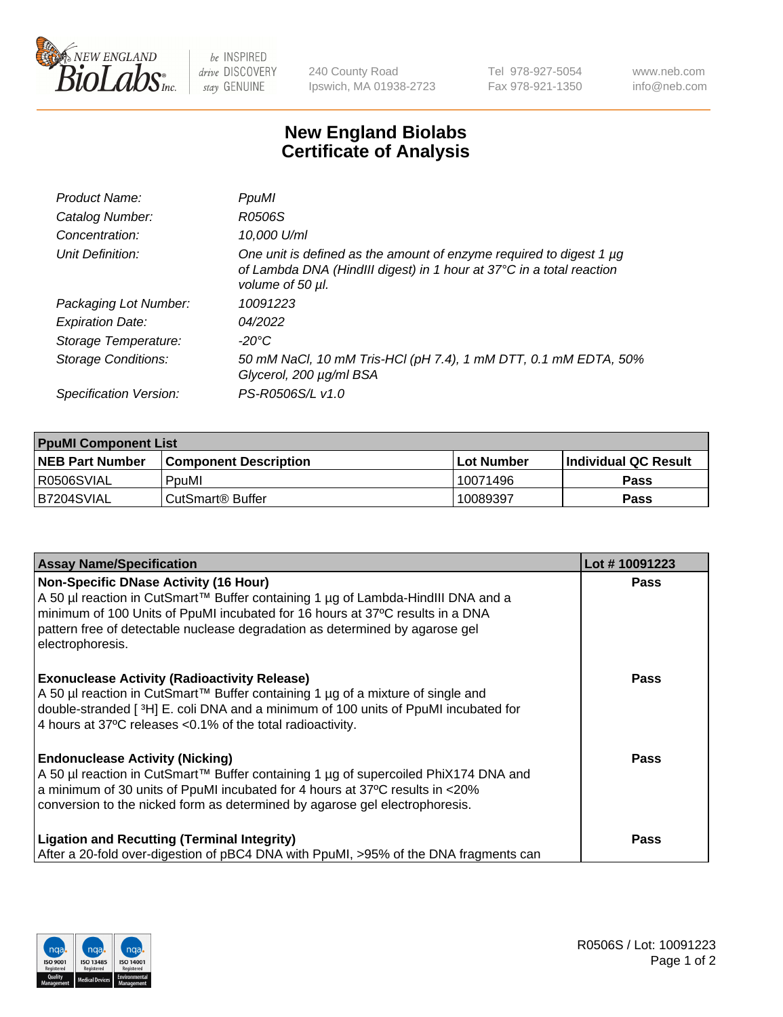

 $be$  INSPIRED drive DISCOVERY stay GENUINE

240 County Road Ipswich, MA 01938-2723 Tel 978-927-5054 Fax 978-921-1350 www.neb.com info@neb.com

## **New England Biolabs Certificate of Analysis**

| Product Name:              | PpuMI                                                                                                                                                           |
|----------------------------|-----------------------------------------------------------------------------------------------------------------------------------------------------------------|
| Catalog Number:            | R0506S                                                                                                                                                          |
| Concentration:             | 10,000 U/ml                                                                                                                                                     |
| Unit Definition:           | One unit is defined as the amount of enzyme required to digest 1 µg<br>of Lambda DNA (HindIII digest) in 1 hour at 37°C in a total reaction<br>volume of 50 µl. |
| Packaging Lot Number:      | 10091223                                                                                                                                                        |
| <b>Expiration Date:</b>    | 04/2022                                                                                                                                                         |
| Storage Temperature:       | -20°C                                                                                                                                                           |
| <b>Storage Conditions:</b> | 50 mM NaCl, 10 mM Tris-HCl (pH 7.4), 1 mM DTT, 0.1 mM EDTA, 50%<br>Glycerol, 200 µg/ml BSA                                                                      |
| Specification Version:     | PS-R0506S/L v1.0                                                                                                                                                |

| <b>PpuMI Component List</b> |                              |            |                       |  |  |
|-----------------------------|------------------------------|------------|-----------------------|--|--|
| <b>NEB Part Number</b>      | <b>Component Description</b> | Lot Number | ∣Individual QC Result |  |  |
| R0506SVIAL                  | PpuMI                        | 10071496   | <b>Pass</b>           |  |  |
| IB7204SVIAL                 | l CutSmart® Buffer           | 10089397   | <b>Pass</b>           |  |  |

| <b>Assay Name/Specification</b>                                                                                                                                                                                                                                                                                       | Lot #10091223 |
|-----------------------------------------------------------------------------------------------------------------------------------------------------------------------------------------------------------------------------------------------------------------------------------------------------------------------|---------------|
| <b>Non-Specific DNase Activity (16 Hour)</b><br>A 50 µl reaction in CutSmart™ Buffer containing 1 µg of Lambda-HindIII DNA and a<br>minimum of 100 Units of PpuMI incubated for 16 hours at 37°C results in a DNA<br>pattern free of detectable nuclease degradation as determined by agarose gel<br>electrophoresis. | <b>Pass</b>   |
| <b>Exonuclease Activity (Radioactivity Release)</b><br>A 50 µl reaction in CutSmart™ Buffer containing 1 µg of a mixture of single and<br>double-stranded [3H] E. coli DNA and a minimum of 100 units of PpuMI incubated for<br>4 hours at 37°C releases <0.1% of the total radioactivity.                            | <b>Pass</b>   |
| <b>Endonuclease Activity (Nicking)</b><br>A 50 µl reaction in CutSmart™ Buffer containing 1 µg of supercoiled PhiX174 DNA and<br>a minimum of 30 units of PpuMI incubated for 4 hours at 37°C results in <20%<br>conversion to the nicked form as determined by agarose gel electrophoresis.                          | <b>Pass</b>   |
| <b>Ligation and Recutting (Terminal Integrity)</b><br>After a 20-fold over-digestion of pBC4 DNA with PpuMI, >95% of the DNA fragments can                                                                                                                                                                            | <b>Pass</b>   |